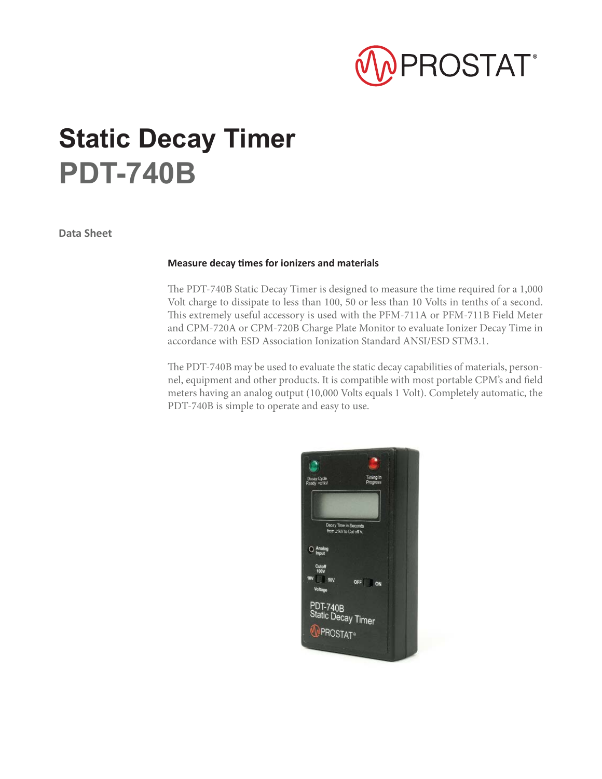

## **Static Decay Timer PDT-740B**

**Data Sheet**

## **Measure decay Ɵ mes for ionizers and materials**

The PDT-740B Static Decay Timer is designed to measure the time required for a 1,000 Volt charge to dissipate to less than 100, 50 or less than 10 Volts in tenths of a second. This extremely useful accessory is used with the PFM-711A or PFM-711B Field Meter and CPM-720A or CPM-720B Charge Plate Monitor to evaluate Ionizer Decay Time in accordance with ESD Association Ionization Standard ANSI/ESD STM3.1.

The PDT-740B may be used to evaluate the static decay capabilities of materials, personnel, equipment and other products. It is compatible with most portable CPM's and field meters having an analog output (10,000 Volts equals 1 Volt). Completely automatic, the PDT-740B is simple to operate and easy to use.